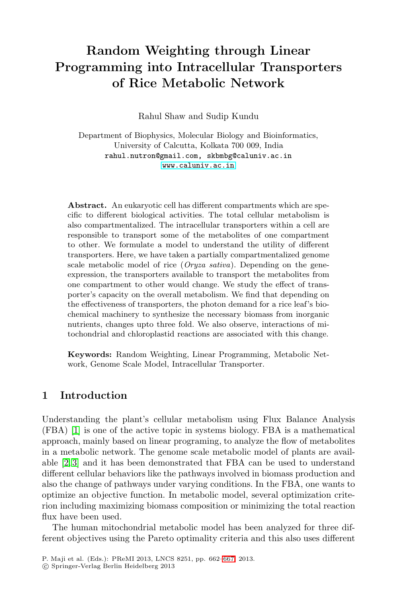# **Random Weighting through Linear Programming into Intracellular Transporters [of](www.caluniv.ac.in) [Rice](www.caluniv.ac.in) [M](www.caluniv.ac.in)etabolic Network**

Rahul Shaw and Sudip Kundu

Department of Biophysics, Molecular Biology and Bioinformatics, University of Calcutta, Kolkata 700 009, India rahul.nutron@gmail.com, skbmbg@caluniv.ac.in

**Abstract.** An eukaryotic cell has different compartments which are specific to different biological activities. The total cellular metabolism is also compartmentalized. The intracellular transporters within a cell are responsible to transport some of the metabolites of one compartment to other. We formulate a model to understand the utility of different transporters. Here, we have taken a partially compartmentalized genome scale metabolic model of rice (*Oryza sativa*). Depending on the geneexpression, the transporters available to transport the metabolites from one compartment to other would change. We study the effect of transporter's capacity on the overall metabolism. We find that depending on the effectiveness of transporters, the photon demand for a rice leaf's biochemical machinery to synthesize the necessary biomass from inorganic nutrients, changes upto three fold. We also observe, interactions of mitochondrial and chloroplastid reactions are associated with this change.

**Keywords:** Random Weighting, Linear Programming, Metabolic Network, Genome Scale Model, Intracellular Transporter.

# **1 Introduction**

Understanding the plant's cellular metabolism using Flux Balance Analysis (FBA) [1] is one of the active topic in systems biology. FBA is a mathematical approach, mainly based on linear programing, to analyze the flow of metabolites in a metabolic network. The genome scale metabolic model of plants are available [2, 3] and it has been demonstrated that FBA can be used to understand different cellular behaviors l[ike t](#page-5-0)he pathways involved in biomass production and also the change of pathways under varying conditions. In the FBA, one wants to optimize an objective function. In metabolic model, several optimization criterion including maximizing biomass composition or minimizing the total reaction flux have been used.

The human mitochondrial metabolic model has been analyzed for three different objectives using the Pareto optimality criteria and this also uses different

P. Maji et al. (Eds.): PReMI 2013, LNCS 8251, pp. 662–667, 2013.

<sup>-</sup>c Springer-Verlag Berlin Heidelberg 2013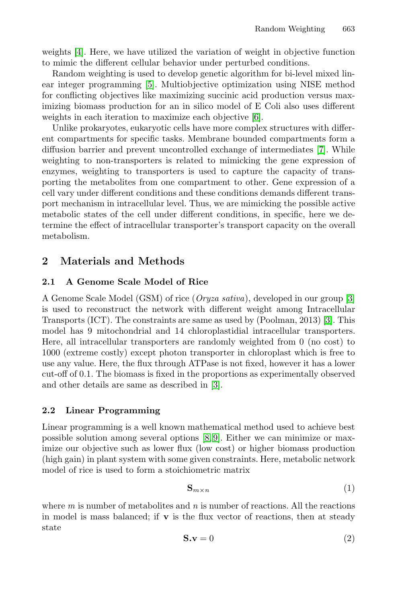weights [4]. Here, we have utilized the variation of weight in objective function to mimic the different cellular behavior under pertu[rb](#page-5-1)ed conditions.

Random weighting is used to develop genetic algorithm for bi-level mixed linear integer programming [5]. Multiobjective optimization using NISE method for conflicting objectives like maximizing succinic acid production versus maximizing biomass production for an in silico model of E Coli also uses different weights in each iteration to maximize each objective [6].

Unlike prokaryotes, eukaryotic cells have more complex structures with different compartments for specific tasks. Membrane bounded compartments form a diffusion barrier and prevent uncontrolled exchange of intermediates [7]. While weighting to non-transporters is related to mimicking the gene expression of enzymes, weighting to transporters is used to capture the capacity of transporting the metabolites from one compartment to other. Gene expression of a cell vary under different conditions and these conditions demands different transport mechanism in intracellular level. Thus, we are mimicking the possible active metabolic states of the cell under different conditions, in [sp](#page-5-2)ecific, here we determine the effect of intracellular transporter's transport capacity on the overall metabolism.

# **2 Materials and Methods**

# **2.1 A Genome Scale Model of Rice**

A Genome Scale Model ([GS](#page-5-2)M) of rice (*Oryza sativa*), developed in our group [3] is used to reconstruct the network with different weight among Intracellular Transports (ICT). The constraints are same as used by (Poolman, 2013) [3]. This model has 9 mitochondrial and 14 chloroplastidial intracellular transporters. Here, all intracellular transporters are randomly weighted from 0 (no cost) to 1000 (extreme costly) [ex](#page-5-3)[cep](#page-5-4)t photon transporter in chloroplast which is free to use any value. Here, the flux through ATPase is not fixed, however it has a lower cut-off of 0.1. The biomass is fixed in the proportions as experimentally observed and other details are same as described in [3].

# **2.2 Linear Programming**

Linear programming is a well known mathematical method used to achieve best possible solution among several options [8, 9]. Either we can minimize or maximize our objective such as lower flux (low cost) or higher biomass production (high gain) in plant system with some given constraints. Here, metabolic network model of rice is used to form a stoichiometric matrix

$$
\mathbf{S}_{m \times n} \tag{1}
$$

where *m* is number of metabolites and *n* is number of reactions. All the reactions in model is mass balanced; if **v** is the flux vector of reactions, then at steady state

$$
\mathbf{S}.\mathbf{v} = 0\tag{2}
$$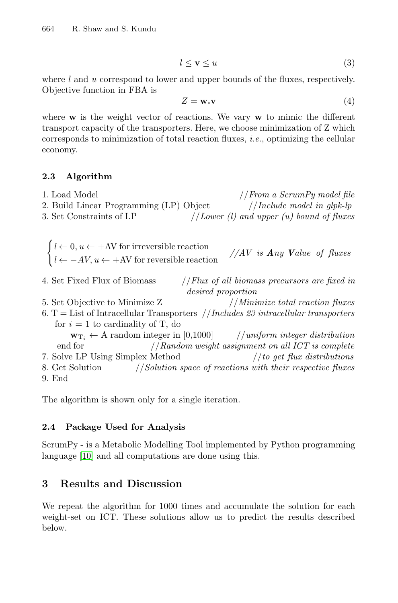664 R. Shaw and S. Kundu

$$
l \le \mathbf{v} \le u \tag{3}
$$

where *l* and *u* correspond to lower and upper bounds of the fluxes, respectively. Objective function in FBA is

$$
Z = \mathbf{w} \cdot \mathbf{v} \tag{4}
$$

where **w** is the weight vector of reactions. We vary **w** to mimic the different transport capacity of the transporters. Here, we choose minimization of Z which corresponds to minimization of total reaction fluxes, *i.e.*, optimizing the cellular economy.

# **2.3 Algorithm**

| 1. Load Model                           | // From a ScrumPy model file              |  |
|-----------------------------------------|-------------------------------------------|--|
| 2. Build Linear Programming (LP) Object | $// Include model in glpk-lp$             |  |
| 3. Set Constraints of LP                | //Lower (l) and upper (u) bound of fluxes |  |

 $\begin{cases} l \leftarrow 0, u \leftarrow +AV \text{ for irreversible reaction} \\ l \leftarrow -AV, u \leftarrow +AV \text{ for reversible reaction} \end{cases}$  //AV is **A***ny Value of fluxes* 

4. Set Fixed Flux of Biomass //*Flux of all biomass precursors are fixed in desired proportion*

5. Set Objective to Minimize Z //*Minimize total reaction fluxes* 6. T = List of Intracellular Transporters //*Includes 23 intracellular transporters* for  $i = 1$  to cardinality of T, do

 $\mathbf{w}_{\mathrm{T}_i} \leftarrow \text{A random integer in } [0,1000]$  //*uniform integer distribution*<br>end for //*Random weight assignment on all ICT is complete*  $\begin{array}{c} // Random \; weight \; assignment \; on \; all \; ICT \; is \; complete \\ Method \end{array}$ 7. Solve LP Using Simplex Method 8. Get Solution //*Solution space of reactions with their respective fluxes* 9. End

The algorithm is shown only for a single iteration.

#### **2.4 Package Used for Analysis**

ScrumPy - is a Metabolic Modelling Tool implemented by Python programming language [10] and all computations are done using this.

# **3 Results and Discussion**

We repeat the algorithm for 1000 times and accumulate the solution for each weight-set on ICT. These solutions allow us to predict the results described below.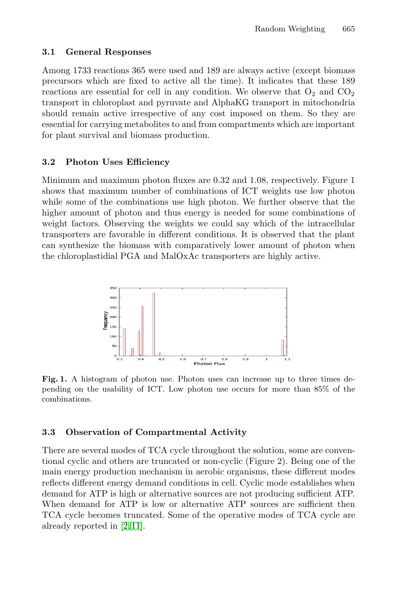### **3.1 General Responses**

Among 1733 reactions 365 were used and 189 are always active (except biomass precursors which are fixed to active all the time). It indicates that these 189 reactions are essential for cell in any condition. We observe that  $O_2$  and  $CO_2$ transport in chloroplast and pyruvate and AlphaKG transport in mitochondria should remain active irrespective of any cost imposed on them. So they are essential for carrying metabolites to and from compartments which are important for plant survival and biomass production.

### **3.2 Photon Uses Efficiency**

Minimum and maximum photon fluxes are 0.32 and 1.08, respectively. Figure 1 shows that maximum number of combinations of ICT weights use low photon while some of the combinations use high photon. We further observe that the higher amount of photon and thus energy is needed for some combinations of weight factors. Observing the weights we could say which of the intracellular transporters are favorable in different conditions. It is observed that the plant can synthesize the biomass with comparatively lower amount of photon when the chloroplastidial PGA and MalOxAc transporters are highly active.



Fig. 1. A histogram of photon use. Photon uses can increase up to three times depending on the usability of ICT. Low photon use occurs for more than 85% of the combinations.

# **3.3 Observation of Compartmental Activity**

T[he](#page-5-5)[re](#page-5-6) [a](#page-5-6)re several modes of TCA cycle throughout the solution, some are conventional cyclic and others are truncated or non-cyclic (Figure 2). Being one of the main energy production mechanism in aerobic organisms, these different modes reflects different energy demand conditions in cell. Cyclic mode establishes when demand for ATP is high or alternative sources are not producing sufficient ATP. When demand for ATP is low or alternative ATP sources are sufficient then TCA cycle becomes truncated. Some of the operative modes of TCA cycle are already reported in [2, 11].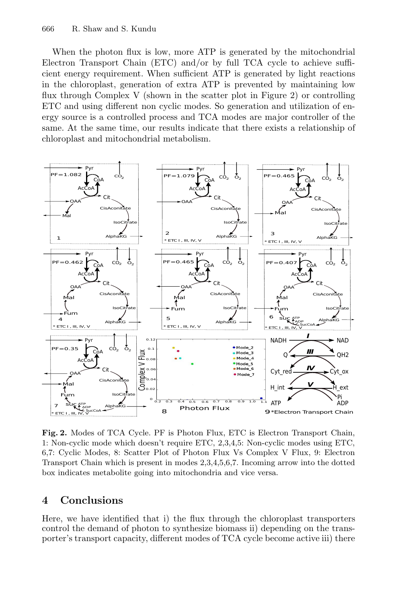When the photon flux is low, more ATP is generated by the mitochondrial Electron Transport Chain (ETC) and/or by full TCA cycle to achieve sufficient energy requirement. When sufficient ATP is generated by light reactions in the chloroplast, generation of extra ATP is prevented by maintaining low flux through Complex V (shown in the scatter plot in Figure 2) or controlling ETC and using different non cyclic modes. So generation and utilization of energy source is a controlled process and TCA modes are major controller of the same. At the same time, our results indicate that there exists a relationship of chloroplast and mitochondrial metabolism.



Fig. 2. Modes of TCA Cycle. PF is Photon Flux, ETC is Electron Transport Chain, 1: Non-cyclic mode which doesn't require ETC, 2,3,4,5: Non-cyclic modes using ETC, 6,7: Cyclic Modes, 8: Scatter Plot of Photon Flux Vs Complex V Flux, 9: Electron Transport Chain which is present in modes 2,3,4,5,6,7. Incoming arrow into the dotted box indicates metabolite going into mitochondria and vice versa.

#### Conclusions  $\overline{\mathbf{4}}$

Here, we have identified that i) the flux through the chloroplast transporters control the demand of photon to synthesize biomass ii) depending on the transporter's transport capacity, different modes of TCA cycle become active iii) there